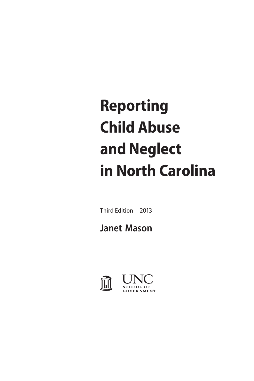# **Reporting Child Abuse and Neglect in North Carolina**

Third Edition 2013

# **Janet Mason**

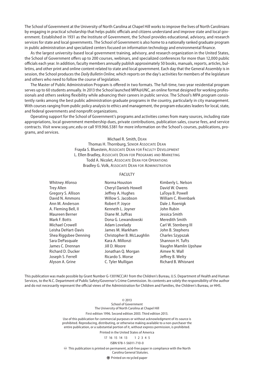The School of Government at the University of North Carolina at Chapel Hill works to improve the lives of North Carolinians by engaging in practical scholarship that helps public officials and citizens understand and improve state and local government. Established in 1931 as the Institute of Government, the School provides educational, advisory, and research services for state and local governments. The School of Government is also home to a nationally ranked graduate program in public administration and specialized centers focused on information technology and environmental finance.

As the largest university-based local government training, advisory, and research organization in the United States, the School of Government offers up to 200 courses, webinars, and specialized conferences for more than 12,000 public officials each year. In addition, faculty members annually publish approximately 50 books, manuals, reports, articles, bulletins, and other print and online content related to state and local government. Each day that the General Assembly is in session, the School produces the *Daily Bulletin Online*, which reports on the day's activities for members of the legislature and others who need to follow the course of legislation.

The Master of Public Administration Program is offered in two formats. The full-time, two-year residential program serves up to 60 students annually. In 2013 the School launched MPA@UNC, an online format designed for working professionals and others seeking flexibility while advancing their careers in public service. The School's MPA program consistently ranks among the best public administration graduate programs in the country, particularly in city management. With courses ranging from public policy analysis to ethics and management, the program educates leaders for local, state, and federal governments and nonprofit organizations.

Operating support for the School of Government's programs and activities comes from many sources, including state appropriations, local government membership dues, private contributions, publication sales, course fees, and service contracts. Visit www.sog.unc.edu or call 919.966.5381 for more information on the School's courses, publications, programs, and services.

> Michael R. Smith, Dean Thomas H. Thornburg, Senior Associate Dean Frayda S. Bluestein, Associate Dean for Faculty Development L. Ellen Bradley, Associate Dean for Programs and Marketing Todd A. Nicolet, Associate Dean for Operations Bradley G. Volk, Associate Dean for Administration

#### FACULTY

| <b>Whitney Afonso</b>    | Norma Houston                | Kimberly L. Nelson   |
|--------------------------|------------------------------|----------------------|
| <b>Trey Allen</b>        | <b>Cheryl Daniels Howell</b> | David W. Owens       |
| Gregory S. Allison       | Jeffrey A. Hughes            | LaToya B. Powell     |
| David N. Ammons          | Willow S. Jacobson           | William C. Rivenbark |
| Ann M. Anderson          | Robert P. Joyce              | Dale J. Roenigk      |
| A. Fleming Bell, II      | Kenneth L. Joyner            | John Rubin           |
| Maureen Berner           | Diane M. Juffras             | Jessica Smith        |
| Mark F. Botts            | Dona G. Lewandowski          | Meredith Smith       |
| Michael Crowell          | Adam Lovelady                | Carl W. Stenberg III |
| Leisha DeHart-Davis      | James M. Markham             | John B. Stephens     |
| Shea Riggsbee Denning    | Christopher B. McLaughlin    | Charles Szypszak     |
| Sara DePasquale          | Kara A. Millonzi             | Shannon H. Tufts     |
| James C. Drennan         | Jill D. Moore                | Vaughn Mamlin Upshaw |
| <b>Richard D. Ducker</b> | Jonathan Q. Morgan           | Aimee N. Wall        |
| Joseph S. Ferrell        | Ricardo S. Morse             | Jeffrey B. Welty     |
| Alyson A. Grine          | C. Tyler Mulligan            | Richard B. Whisnant  |

This publication was made possible by Grant Number G-1301NCCJA1 from the Children's Bureau, U.S. Department of Health and Human Services, to the N.C. Department of Public Safety/Governor's Crime Commission. Its contents are solely the responsibility of the author and do not necessarily represent the official views of the Administration for Children and Families, the Children's Bureau, or HHS.

© 2013

School of Government The University of North Carolina at Chapel Hill

First edition 1996. Second edition 2003. Third edition 2013.

Use of this publication for commercial purposes or without acknowledgment of its source is prohibited. Reproducing, distributing, or otherwise making available to a non-purchaser the entire publication, or a substantial portion of it, without express permission, is prohibited.

Printed in the United States of America

17 16 15 14 13 1 2 3 4 5

#### ISBN 978-1-56011-710-0

This publication is printed on permanent, acid-free paper in compliance with the North Carolina General Statutes.

Printed on recycled paper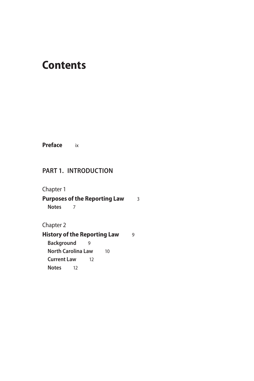## **Contents**

**Preface** ix

#### **Part 1. Introduction**

Chapter 1

**Purposes of the Reporting Law** 3 **Notes** 7

Chapter 2

**History of the Reporting Law** 9 **Background** 9 **North Carolina Law** 10 **Current Law** 12 **Notes** 12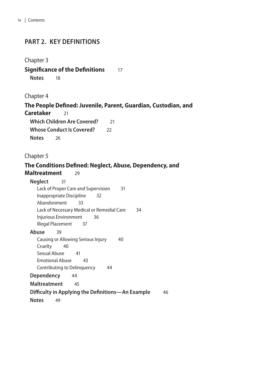#### **Part 2. Key Definitions**

#### Chapter 3

#### **Significance of the Definitions** 17 **Notes** 18

#### Chapter 4

#### **The People Defined: Juvenile, Parent, Guardian, Custodian, and Caretaker** 21

**Which Children Are Covered?** 21 **Whose Conduct Is Covered?** 22 **Notes** 26

#### Chapter 5

#### **The Conditions Defined: Neglect, Abuse, Dependency, and Maltreatment** 29

| <b>Neglect</b><br>31                                    |
|---------------------------------------------------------|
| Lack of Proper Care and Supervision<br>31               |
| Inappropriate Discipline<br>32                          |
| Abandonment<br>33                                       |
| Lack of Necessary Medical or Remedial Care<br>34        |
| Injurious Environment<br>36                             |
| Illegal Placement<br>37                                 |
| Abuse<br>39                                             |
| Causing or Allowing Serious Injury<br>40                |
| Cruelty<br>40                                           |
| Sexual Abuse<br>41                                      |
| <b>Emotional Abuse</b><br>43                            |
| Contributing to Delinguency<br>44                       |
| <b>Dependency</b><br>-44                                |
| <b>Maltreatment</b><br>45                               |
| Difficulty in Applying the Definitions—An Example<br>46 |
| <b>Notes</b><br>49                                      |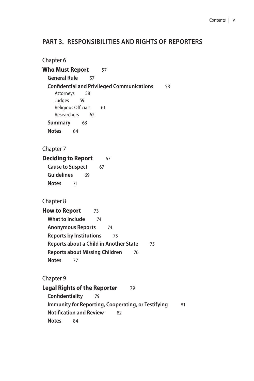#### **Part 3. Responsibilities and Rights of Reporters**

Chapter 6 **Who Must Report** 57 **General Rule** 57 **Confidential and Privileged Communications** 58 Attorneys 58 Judges 59 Religious Officials 61 Researchers 62 **Summary** 63 **Notes** 64 Chapter 7 **Deciding to Report** 67 **Cause to Suspect** 67 **Guidelines** 69 **Notes** 71 Chapter 8 **How to Report** 73 **What to Include** 74 **Anonymous Reports** 74 **Reports by Institutions** 75 **Reports about a Child in Another State** 75 **Reports about Missing Children** 76 **Notes** 77 Chapter 9 **Legal Rights of the Reporter** 79 **Confidentiality** 79 **Immunity for Reporting, Cooperating, or Testifying** 81 **Notification and Review** 82 **Notes** 84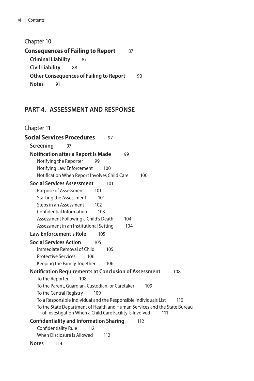Chapter 10

**Consequences of Failing to Report** 87 **Criminal Liability** 87 **Civil Liability** 88 **Other Consequences of Failing to Report** 90 **Notes** 91

## **Part 4. Assessment and Response**

Chapter 11

| <b>Social Services Procedures</b><br>97                                                                                                                                                                                                                                                                                                                                                                                                                                                      |
|----------------------------------------------------------------------------------------------------------------------------------------------------------------------------------------------------------------------------------------------------------------------------------------------------------------------------------------------------------------------------------------------------------------------------------------------------------------------------------------------|
| Screening<br>97                                                                                                                                                                                                                                                                                                                                                                                                                                                                              |
| <b>Notification after a Report Is Made</b><br>99<br>Notifying the Reporter<br>99<br>Notifying Law Enforcement<br>100<br>Notification When Report Involves Child Care<br>100                                                                                                                                                                                                                                                                                                                  |
| <b>Social Services Assessment</b><br>101<br><b>Purpose of Assessment</b><br>101<br><b>Starting the Assessment</b><br>101<br>Steps in an Assessment<br>102<br>Confidential Information<br>103<br>Assessment Following a Child's Death<br>104<br>Assessment in an Institutional Setting<br>104<br><b>Law Enforcement's Role</b><br>105<br><b>Social Services Action</b><br>105<br>Immediate Removal of Child<br>105<br><b>Protective Services</b><br>106<br>Keeping the Family Together<br>106 |
| <b>Notification Requirements at Conclusion of Assessment</b><br>108<br>To the Reporter<br>108<br>To the Parent, Guardian, Custodian, or Caretaker<br>109<br>To the Central Registry<br>109<br>To a Responsible Individual and the Responsible Individuals List<br>110<br>To the State Department of Health and Human Services and the State Bureau                                                                                                                                           |
| of Investigation When a Child Care Facility Is Involved<br>111<br><b>Confidentiality and Information Sharing</b><br>112                                                                                                                                                                                                                                                                                                                                                                      |
| <b>Confidentiality Rule</b><br>112<br>When Disclosure Is Allowed<br>112                                                                                                                                                                                                                                                                                                                                                                                                                      |
| <b>Notes</b><br>114                                                                                                                                                                                                                                                                                                                                                                                                                                                                          |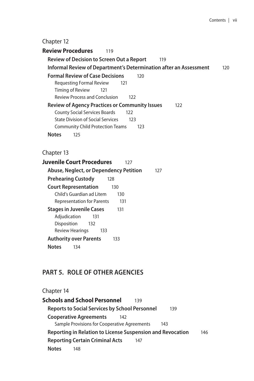#### Chapter 12

**Review Procedures** 119 **Review of Decision to Screen Out a Report** 119 **Informal Review of Department's Determination after an Assessment** 120 **Formal Review of Case Decisions** 120 Requesting Formal Review 121 Timing of Review 121 Review Process and Conclusion 122 **Review of Agency Practices or Community Issues** 122 County Social Services Boards 122 State Division of Social Services 123 Community Child Protection Teams 123 **Notes** 125

Chapter 13

| Juvenile Court Procedures<br>127         |     |
|------------------------------------------|-----|
| Abuse, Neglect, or Dependency Petition   | 127 |
| <b>Prehearing Custody</b><br>128         |     |
| <b>Court Representation</b><br>130       |     |
| Child's Guardian ad Litem<br>130         |     |
| <b>Representation for Parents</b><br>131 |     |
| <b>Stages in Juvenile Cases</b><br>131   |     |
| Adjudication<br>131                      |     |
| Disposition<br>132                       |     |
| <b>Review Hearings</b><br>133            |     |
| <b>Authority over Parents</b><br>133     |     |
| <b>Notes</b><br>134                      |     |

#### **Part 5. Role of Other Agencies**

## Chapter 14

**Schools and School Personnel** 139 **Reports to Social Services by School Personnel** 139 **Cooperative Agreements** 142 Sample Provisions for Cooperative Agreements 143 **Reporting in Relation to License Suspension and Revocation** 146 **Reporting Certain Criminal Acts** 147 **Notes** 148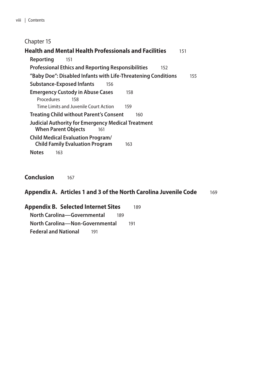#### Chapter 15

| <b>Health and Mental Health Professionals and Facilities</b>                                                        | 151 |     |
|---------------------------------------------------------------------------------------------------------------------|-----|-----|
| Reporting<br>151                                                                                                    |     |     |
| <b>Professional Ethics and Reporting Responsibilities</b><br>152                                                    |     |     |
| "Baby Doe": Disabled Infants with Life-Threatening Conditions                                                       |     | 155 |
| <b>Substance-Exposed Infants</b><br>156                                                                             |     |     |
| <b>Emergency Custody in Abuse Cases</b><br>158<br>Procedures<br>158<br>Time Limits and Juvenile Court Action<br>159 |     |     |
| <b>Treating Child without Parent's Consent</b><br>160                                                               |     |     |
| Judicial Authority for Emergency Medical Treatment<br><b>When Parent Objects</b><br>161                             |     |     |
| <b>Child Medical Evaluation Program/</b><br><b>Child Family Evaluation Program</b><br>163                           |     |     |
| <b>Notes</b><br>163                                                                                                 |     |     |

**Conclusion** 167

#### **Appendix A. Articles 1 and 3 of the North Carolina Juvenile Code** 169

**Appendix B. Selected Internet Sites** 189 **North Carolina—Governmental** 189 **North Carolina—Non-Governmental** 191 **Federal and National** 191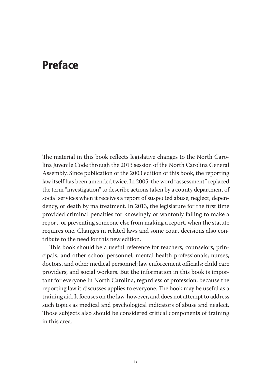## **Preface**

The material in this book reflects legislative changes to the North Carolina Juvenile Code through the 2013 session of the North Carolina General Assembly. Since publication of the 2003 edition of this book, the reporting law itself has been amended twice. In 2005, the word "assessment" replaced the term "investigation" to describe actions taken by a county department of social services when it receives a report of suspected abuse, neglect, dependency, or death by maltreatment. In 2013, the legislature for the first time provided criminal penalties for knowingly or wantonly failing to make a report, or preventing someone else from making a report, when the statute requires one. Changes in related laws and some court decisions also contribute to the need for this new edition.

This book should be a useful reference for teachers, counselors, principals, and other school personnel; mental health professionals; nurses, doctors, and other medical personnel; law enforcement officials; child care providers; and social workers. But the information in this book is important for everyone in North Carolina, regardless of profession, because the reporting law it discusses applies to everyone. The book may be useful as a training aid. It focuses on the law, however, and does not attempt to address such topics as medical and psychological indicators of abuse and neglect. Those subjects also should be considered critical components of training in this area.